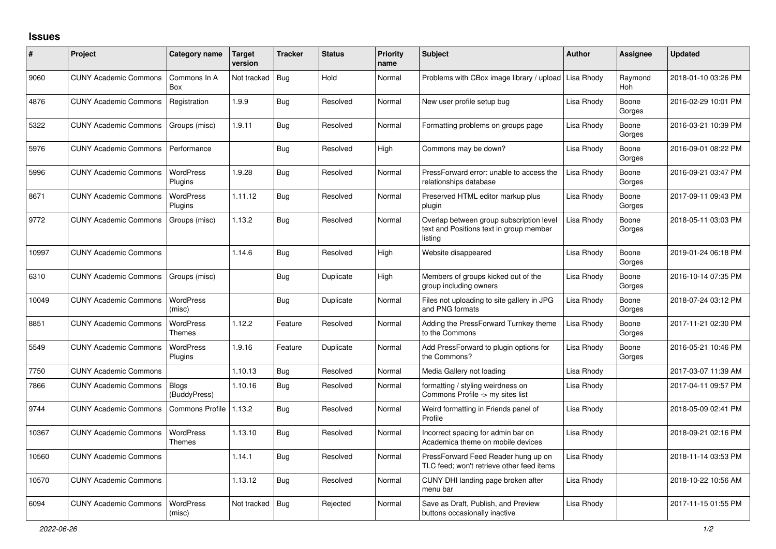## **Issues**

| #     | Project                      | Category name                | Target<br>version | <b>Tracker</b> | <b>Status</b> | <b>Priority</b><br>name | <b>Subject</b>                                                                                 | <b>Author</b> | <b>Assignee</b>       | <b>Updated</b>      |
|-------|------------------------------|------------------------------|-------------------|----------------|---------------|-------------------------|------------------------------------------------------------------------------------------------|---------------|-----------------------|---------------------|
| 9060  | <b>CUNY Academic Commons</b> | Commons In A<br>Box          | Not tracked       | Bug            | Hold          | Normal                  | Problems with CBox image library / upload                                                      | Lisa Rhody    | Raymond<br><b>Hoh</b> | 2018-01-10 03:26 PM |
| 4876  | <b>CUNY Academic Commons</b> | Registration                 | 1.9.9             | Bug            | Resolved      | Normal                  | New user profile setup bug                                                                     | Lisa Rhody    | Boone<br>Gorges       | 2016-02-29 10:01 PM |
| 5322  | <b>CUNY Academic Commons</b> | Groups (misc)                | 1.9.11            | Bug            | Resolved      | Normal                  | Formatting problems on groups page                                                             | Lisa Rhody    | Boone<br>Gorges       | 2016-03-21 10:39 PM |
| 5976  | <b>CUNY Academic Commons</b> | Performance                  |                   | Bug            | Resolved      | High                    | Commons may be down?                                                                           | Lisa Rhody    | Boone<br>Gorges       | 2016-09-01 08:22 PM |
| 5996  | <b>CUNY Academic Commons</b> | WordPress<br>Plugins         | 1.9.28            | <b>Bug</b>     | Resolved      | Normal                  | PressForward error: unable to access the<br>relationships database                             | Lisa Rhody    | Boone<br>Gorges       | 2016-09-21 03:47 PM |
| 8671  | <b>CUNY Academic Commons</b> | WordPress<br>Plugins         | 1.11.12           | Bug            | Resolved      | Normal                  | Preserved HTML editor markup plus<br>plugin                                                    | Lisa Rhody    | Boone<br>Gorges       | 2017-09-11 09:43 PM |
| 9772  | <b>CUNY Academic Commons</b> | Groups (misc)                | 1.13.2            | Bug            | Resolved      | Normal                  | Overlap between group subscription level<br>text and Positions text in group member<br>listing | Lisa Rhody    | Boone<br>Gorges       | 2018-05-11 03:03 PM |
| 10997 | <b>CUNY Academic Commons</b> |                              | 1.14.6            | Bug            | Resolved      | High                    | Website disappeared                                                                            | Lisa Rhody    | Boone<br>Gorges       | 2019-01-24 06:18 PM |
| 6310  | <b>CUNY Academic Commons</b> | Groups (misc)                |                   | <b>Bug</b>     | Duplicate     | High                    | Members of groups kicked out of the<br>group including owners                                  | Lisa Rhody    | Boone<br>Gorges       | 2016-10-14 07:35 PM |
| 10049 | <b>CUNY Academic Commons</b> | WordPress<br>(misc)          |                   | <b>Bug</b>     | Duplicate     | Normal                  | Files not uploading to site gallery in JPG<br>and PNG formats                                  | Lisa Rhody    | Boone<br>Gorges       | 2018-07-24 03:12 PM |
| 8851  | <b>CUNY Academic Commons</b> | WordPress<br><b>Themes</b>   | 1.12.2            | Feature        | Resolved      | Normal                  | Adding the PressForward Turnkey theme<br>to the Commons                                        | Lisa Rhody    | Boone<br>Gorges       | 2017-11-21 02:30 PM |
| 5549  | <b>CUNY Academic Commons</b> | WordPress<br>Plugins         | 1.9.16            | Feature        | Duplicate     | Normal                  | Add PressForward to plugin options for<br>the Commons?                                         | Lisa Rhody    | Boone<br>Gorges       | 2016-05-21 10:46 PM |
| 7750  | <b>CUNY Academic Commons</b> |                              | 1.10.13           | Bug            | Resolved      | Normal                  | Media Gallery not loading                                                                      | Lisa Rhody    |                       | 2017-03-07 11:39 AM |
| 7866  | <b>CUNY Academic Commons</b> | <b>Blogs</b><br>(BuddyPress) | 1.10.16           | Bug            | Resolved      | Normal                  | formatting / styling weirdness on<br>Commons Profile -> my sites list                          | Lisa Rhody    |                       | 2017-04-11 09:57 PM |
| 9744  | <b>CUNY Academic Commons</b> | Commons Profile              | 1.13.2            | <b>Bug</b>     | Resolved      | Normal                  | Weird formatting in Friends panel of<br>Profile                                                | Lisa Rhody    |                       | 2018-05-09 02:41 PM |
| 10367 | <b>CUNY Academic Commons</b> | WordPress<br>Themes          | 1.13.10           | Bug            | Resolved      | Normal                  | Incorrect spacing for admin bar on<br>Academica theme on mobile devices                        | Lisa Rhody    |                       | 2018-09-21 02:16 PM |
| 10560 | <b>CUNY Academic Commons</b> |                              | 1.14.1            | <b>Bug</b>     | Resolved      | Normal                  | PressForward Feed Reader hung up on<br>TLC feed; won't retrieve other feed items               | Lisa Rhody    |                       | 2018-11-14 03:53 PM |
| 10570 | <b>CUNY Academic Commons</b> |                              | 1.13.12           | Bug            | Resolved      | Normal                  | CUNY DHI landing page broken after<br>menu bar                                                 | Lisa Rhody    |                       | 2018-10-22 10:56 AM |
| 6094  | <b>CUNY Academic Commons</b> | <b>WordPress</b><br>(misc)   | Not tracked       | <b>Bug</b>     | Rejected      | Normal                  | Save as Draft, Publish, and Preview<br>buttons occasionally inactive                           | Lisa Rhody    |                       | 2017-11-15 01:55 PM |